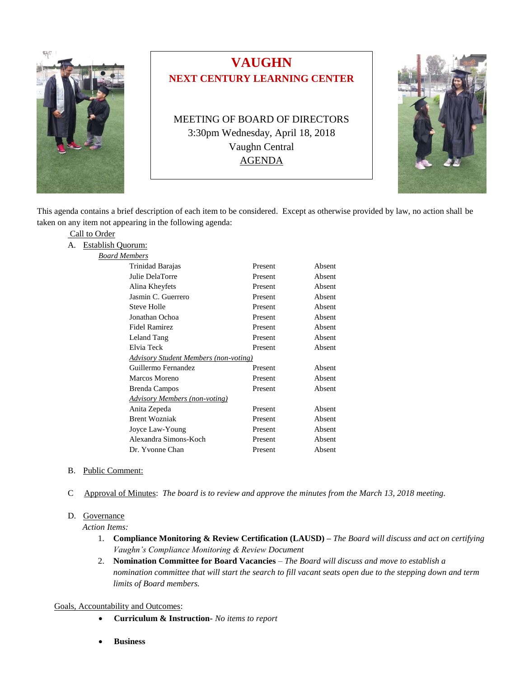

# **VAUGHN NEXT CENTURY LEARNING CENTER**

MEETING OF BOARD OF DIRECTORS 3:30pm Wednesday, April 18, 2018 Vaughn Central AGENDA



This agenda contains a brief description of each item to be considered. Except as otherwise provided by law, no action shall be taken on any item not appearing in the following agenda:

| Call to Order |                      |  |  |
|---------------|----------------------|--|--|
|               | A. Establish Quorum: |  |  |
|               | <b>Board Members</b> |  |  |
|               | Trinidad Barajas     |  |  |
|               | Julie DelaTorre      |  |  |
|               | Alina Khayfate       |  |  |

| Trinidad Barajas                             | Present | Absent |
|----------------------------------------------|---------|--------|
| Julie DelaTorre                              | Present | Absent |
| Alina Kheyfets                               | Present | Absent |
| Jasmin C. Guerrero                           | Present | Absent |
| Steve Holle                                  | Present | Absent |
| Jonathan Ochoa                               | Present | Absent |
| Fidel Ramirez                                | Present | Absent |
| Leland Tang                                  | Present | Absent |
| Elvia Teck                                   | Present | Absent |
| <b>Advisory Student Members (non-voting)</b> |         |        |
| Guillermo Fernandez                          | Present | Absent |
| Marcos Moreno                                | Present | Absent |
| <b>Brenda Campos</b>                         | Present | Absent |
| Advisory Members (non-voting)                |         |        |
| Anita Zepeda                                 | Present | Absent |
| <b>Brent Wozniak</b>                         | Present | Absent |
| Joyce Law-Young                              | Present | Absent |
| Alexandra Simons-Koch                        | Present | Absent |
| Dr. Yvonne Chan                              | Present | Absent |

- B. Public Comment:
- C Approval of Minutes: *The board is to review and approve the minutes from the March 13, 2018 meeting.*

#### D. Governance

*Action Items:*

- 1. **Compliance Monitoring & Review Certification (LAUSD) –** *The Board will discuss and act on certifying Vaughn's Compliance Monitoring & Review Document*
- 2. **Nomination Committee for Board Vacancies** *– The Board will discuss and move to establish a nomination committee that will start the search to fill vacant seats open due to the stepping down and term limits of Board members.*

### Goals, Accountability and Outcomes:

- **Curriculum & Instruction-** *No items to report*
- **Business**